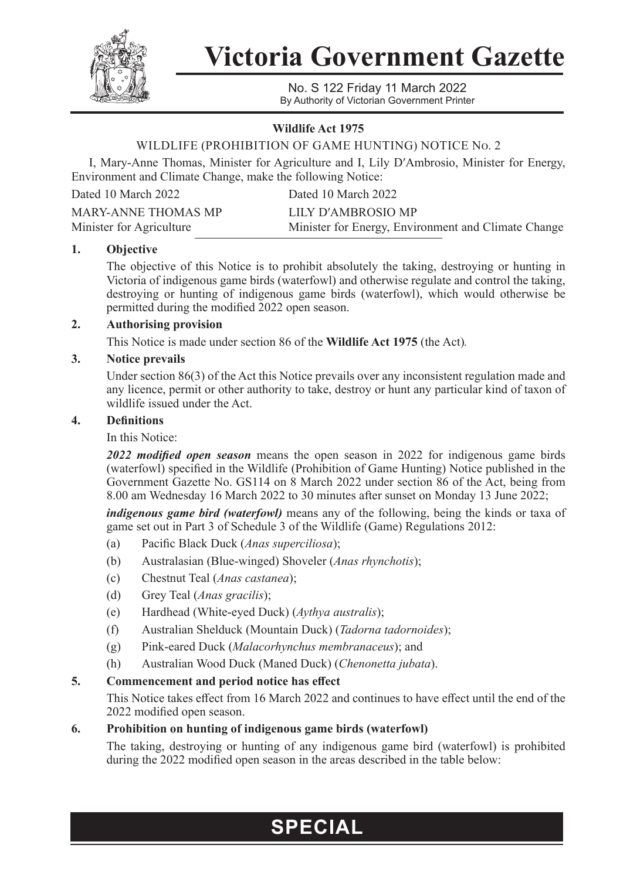

**Victoria Government Gazette**

No. S 122 Friday 11 March 2022 By Authority of Victorian Government Printer

### **Wildlife Act 1975**

# WILDLIFE (PROHIBITION OF GAME HUNTING) NOTICE No. 2

I, Mary-Anne Thomas, Minister for Agriculture and I, Lily D′Ambrosio, Minister for Energy, Environment and Climate Change, make the following Notice:

Dated 10 March 2022 Dated 10 March 2022

| MARY-ANNE THOMAS MP      | LILY D'AMBROSIO MP                                  |
|--------------------------|-----------------------------------------------------|
| Minister for Agriculture | Minister for Energy, Environment and Climate Change |

#### **1. Objective**

The objective of this Notice is to prohibit absolutely the taking, destroying or hunting in Victoria of indigenous game birds (waterfowl) and otherwise regulate and control the taking, destroying or hunting of indigenous game birds (waterfowl), which would otherwise be permitted during the modified 2022 open season.

#### **2. Authorising provision**

This Notice is made under section 86 of the **Wildlife Act 1975** (the Act)*.*

#### **3. Notice prevails**

Under section 86(3) of the Act this Notice prevails over any inconsistent regulation made and any licence, permit or other authority to take, destroy or hunt any particular kind of taxon of wildlife issued under the Act.

# **4. Definitions**

#### In this Notice:

*2022 modified open season* means the open season in 2022 for indigenous game birds (waterfowl) specified in the Wildlife (Prohibition of Game Hunting) Notice published in the Government Gazette No. GS114 on 8 March 2022 under section 86 of the Act, being from 8.00 am Wednesday 16 March 2022 to 30 minutes after sunset on Monday 13 June 2022;

*indigenous game bird (waterfowl)* means any of the following, being the kinds or taxa of game set out in Part 3 of Schedule 3 of the Wildlife (Game) Regulations 2012:

- (a) Pacific Black Duck (*Anas superciliosa*);
- (b) Australasian (Blue-winged) Shoveler (*Anas rhynchotis*);
- (c) Chestnut Teal (*Anas castanea*);
- (d) Grey Teal (*Anas gracilis*);
- (e) Hardhead (White-eyed Duck) (*Aythya australis*);
- (f) Australian Shelduck (Mountain Duck) (*Tadorna tadornoides*);
- (g) Pink-eared Duck (*Malacorhynchus membranaceus*); and
- (h) Australian Wood Duck (Maned Duck) (*Chenonetta jubata*).

# **5. Commencement and period notice has effect**

This Notice takes effect from 16 March 2022 and continues to have effect until the end of the 2022 modified open season.

# **6. Prohibition on hunting of indigenous game birds (waterfowl)**

The taking, destroying or hunting of any indigenous game bird (waterfowl) is prohibited during the 2022 modified open season in the areas described in the table below:

# **SPECIAL**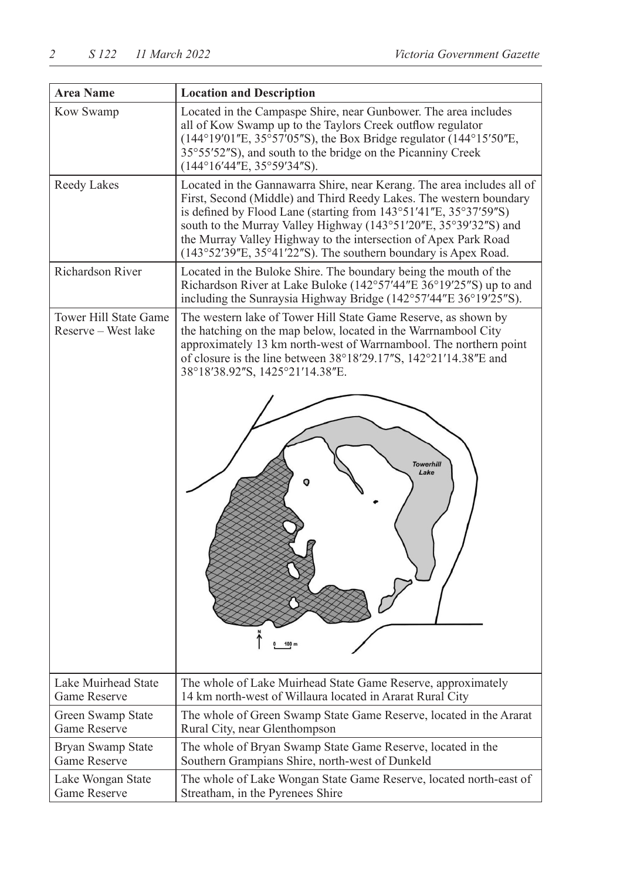| <b>Area Name</b>                             | <b>Location and Description</b>                                                                                                                                                                                                                                                                                                                                                                                              |
|----------------------------------------------|------------------------------------------------------------------------------------------------------------------------------------------------------------------------------------------------------------------------------------------------------------------------------------------------------------------------------------------------------------------------------------------------------------------------------|
| Kow Swamp                                    | Located in the Campaspe Shire, near Gunbower. The area includes<br>all of Kow Swamp up to the Taylors Creek outflow regulator<br>$(144^{\circ}19'01''E, 35^{\circ}57'05''S)$ , the Box Bridge regulator $(144^{\circ}15'50''E,$<br>35°55′52″S), and south to the bridge on the Picanniny Creek<br>(144°16'44"E, 35°59'34"S).                                                                                                 |
| Reedy Lakes                                  | Located in the Gannawarra Shire, near Kerang. The area includes all of<br>First, Second (Middle) and Third Reedy Lakes. The western boundary<br>is defined by Flood Lane (starting from 143°51'41"E, 35°37'59"S)<br>south to the Murray Valley Highway (143°51'20"E, 35°39'32"S) and<br>the Murray Valley Highway to the intersection of Apex Park Road<br>$(143°52'39"E, 35°41'22"S)$ . The southern boundary is Apex Road. |
| Richardson River                             | Located in the Buloke Shire. The boundary being the mouth of the<br>Richardson River at Lake Buloke (142°57'44"E 36°19'25"S) up to and<br>including the Sunraysia Highway Bridge (142°57'44"E 36°19'25"S).                                                                                                                                                                                                                   |
| Tower Hill State Game<br>Reserve - West lake | The western lake of Tower Hill State Game Reserve, as shown by<br>the hatching on the map below, located in the Warrnambool City<br>approximately 13 km north-west of Warrnambool. The northern point<br>of closure is the line between 38°18'29.17"S, 142°21'14.38"E and<br>38°18'38.92"S, 1425°21'14.38"E.<br><b>Towerhill</b><br>Lake                                                                                     |
|                                              | 100 <sub>m</sub>                                                                                                                                                                                                                                                                                                                                                                                                             |
| Lake Muirhead State<br>Game Reserve          | The whole of Lake Muirhead State Game Reserve, approximately<br>14 km north-west of Willaura located in Ararat Rural City                                                                                                                                                                                                                                                                                                    |
| Green Swamp State<br>Game Reserve            | The whole of Green Swamp State Game Reserve, located in the Ararat<br>Rural City, near Glenthompson                                                                                                                                                                                                                                                                                                                          |
| Bryan Swamp State<br>Game Reserve            | The whole of Bryan Swamp State Game Reserve, located in the<br>Southern Grampians Shire, north-west of Dunkeld                                                                                                                                                                                                                                                                                                               |
| Lake Wongan State<br>Game Reserve            | The whole of Lake Wongan State Game Reserve, located north-east of<br>Streatham, in the Pyrenees Shire                                                                                                                                                                                                                                                                                                                       |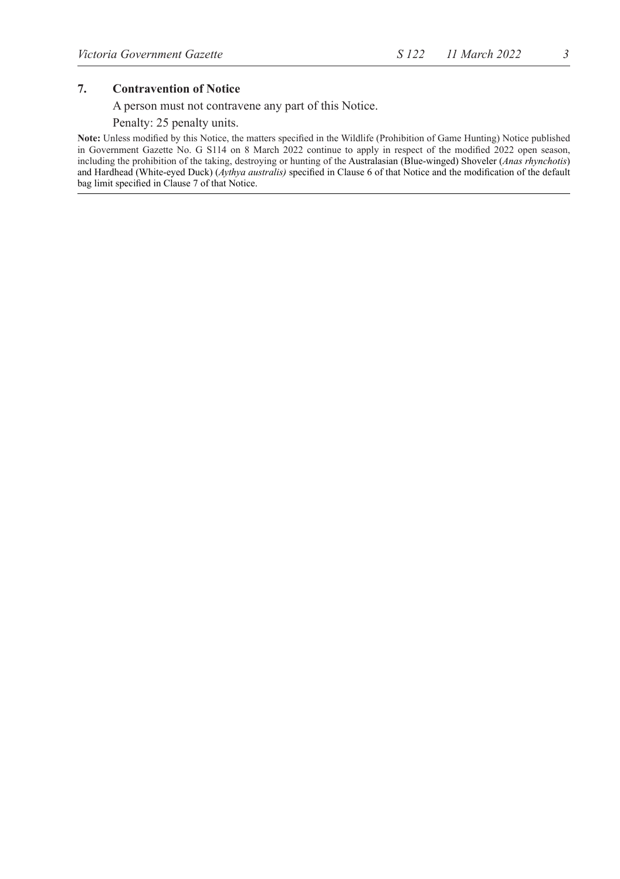#### **7. Contravention of Notice**

A person must not contravene any part of this Notice.

#### Penalty: 25 penalty units.

**Note:** Unless modified by this Notice, the matters specified in the Wildlife (Prohibition of Game Hunting) Notice published in Government Gazette No. G S114 on 8 March 2022 continue to apply in respect of the modified 2022 open season, including the prohibition of the taking, destroying or hunting of the Australasian (Blue-winged) Shoveler (*Anas rhynchotis*) and Hardhead (White-eyed Duck) (*Aythya australis)* specified in Clause 6 of that Notice and the modification of the default bag limit specified in Clause 7 of that Notice.